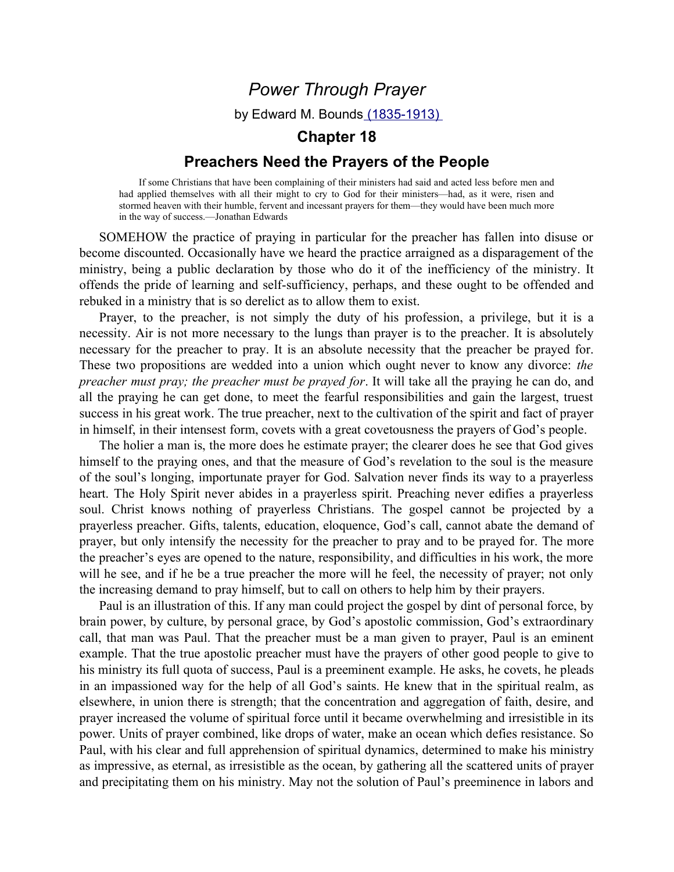## Power Through Prayer

by Edward M. Bounds (1835-1913)

## Chapter 18

## Preachers Need the Prayers of the People

If some Christians that have been complaining of their ministers had said and acted less before men and had applied themselves with all their might to cry to God for their ministers—had, as it were, risen and stormed heaven with their humble, fervent and incessant prayers for them—they would have been much more in the way of success.—Jonathan Edwards

SOMEHOW the practice of praying in particular for the preacher has fallen into disuse or become discounted. Occasionally have we heard the practice arraigned as a disparagement of the ministry, being a public declaration by those who do it of the inefficiency of the ministry. It offends the pride of learning and self-sufficiency, perhaps, and these ought to be offended and rebuked in a ministry that is so derelict as to allow them to exist.

Prayer, to the preacher, is not simply the duty of his profession, a privilege, but it is a necessity. Air is not more necessary to the lungs than prayer is to the preacher. It is absolutely necessary for the preacher to pray. It is an absolute necessity that the preacher be prayed for. These two propositions are wedded into a union which ought never to know any divorce: the preacher must pray; the preacher must be prayed for. It will take all the praying he can do, and all the praying he can get done, to meet the fearful responsibilities and gain the largest, truest success in his great work. The true preacher, next to the cultivation of the spirit and fact of prayer in himself, in their intensest form, covets with a great covetousness the prayers of God's people.

The holier a man is, the more does he estimate prayer; the clearer does he see that God gives himself to the praying ones, and that the measure of God's revelation to the soul is the measure of the soul's longing, importunate prayer for God. Salvation never finds its way to a prayerless heart. The Holy Spirit never abides in a prayerless spirit. Preaching never edifies a prayerless soul. Christ knows nothing of prayerless Christians. The gospel cannot be projected by a prayerless preacher. Gifts, talents, education, eloquence, God's call, cannot abate the demand of prayer, but only intensify the necessity for the preacher to pray and to be prayed for. The more the preacher's eyes are opened to the nature, responsibility, and difficulties in his work, the more will he see, and if he be a true preacher the more will he feel, the necessity of prayer; not only the increasing demand to pray himself, but to call on others to help him by their prayers.

Paul is an illustration of this. If any man could project the gospel by dint of personal force, by brain power, by culture, by personal grace, by God's apostolic commission, God's extraordinary call, that man was Paul. That the preacher must be a man given to prayer, Paul is an eminent example. That the true apostolic preacher must have the prayers of other good people to give to his ministry its full quota of success, Paul is a preeminent example. He asks, he covets, he pleads in an impassioned way for the help of all God's saints. He knew that in the spiritual realm, as elsewhere, in union there is strength; that the concentration and aggregation of faith, desire, and prayer increased the volume of spiritual force until it became overwhelming and irresistible in its power. Units of prayer combined, like drops of water, make an ocean which defies resistance. So Paul, with his clear and full apprehension of spiritual dynamics, determined to make his ministry as impressive, as eternal, as irresistible as the ocean, by gathering all the scattered units of prayer and precipitating them on his ministry. May not the solution of Paul's preeminence in labors and